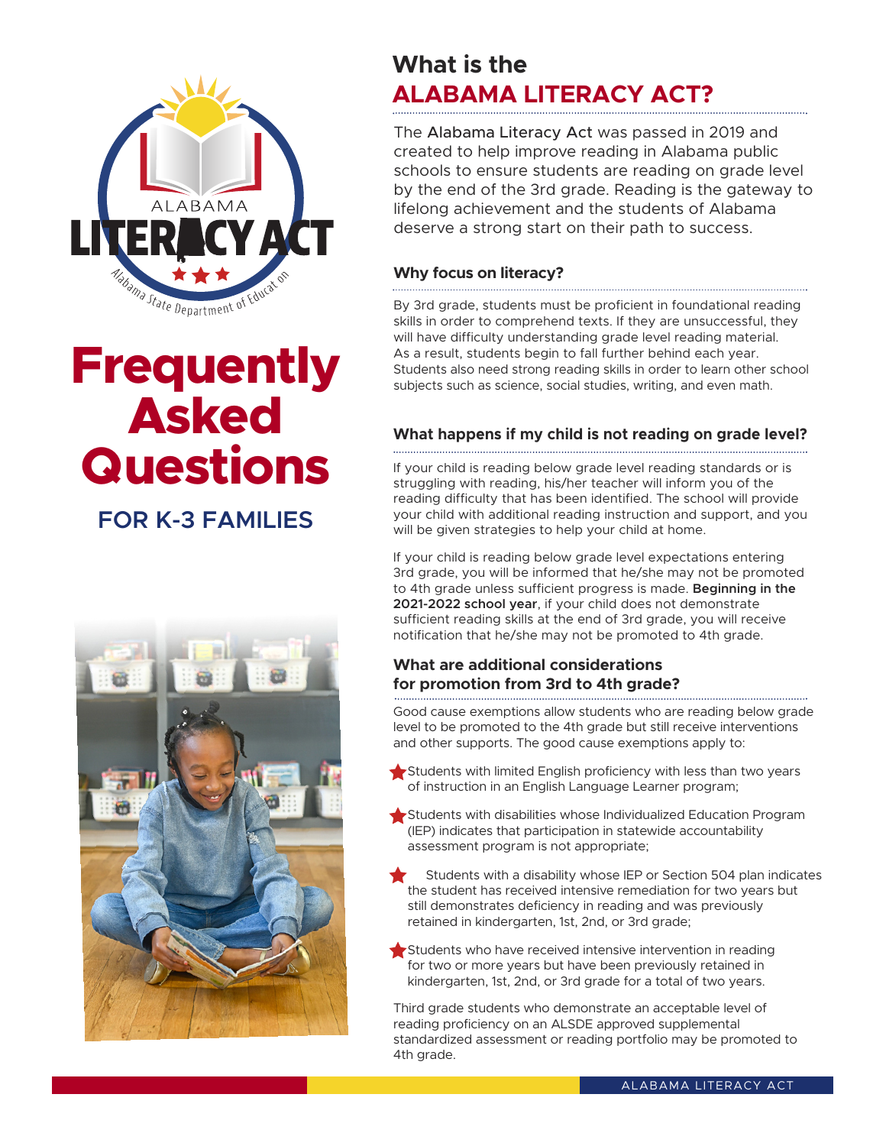

# **Frequently Asked Questions**

**FOR K-3 FAMILIES** 



### **What is the ALABAMA LITERACY ACT?**

The Alabama Literacy Act was passed in 2019 and created to help improve reading in Alabama public schools to ensure students are reading on grade level by the end of the 3rd grade. Reading is the gateway to lifelong achievement and the students of Alabama deserve a strong start on their path to success.

### **Why focus on literacy?**

By 3rd grade, students must be proficient in foundational reading skills in order to comprehend texts. If they are unsuccessful, they will have difficulty understanding grade level reading material. As a result, students begin to fall further behind each year. Students also need strong reading skills in order to learn other school subjects such as science, social studies, writing, and even math.

### **What happens if my child is not reading on grade level?**

If your child is reading below grade level reading standards or is struggling with reading, his/her teacher will inform you of the reading difficulty that has been identified. The school will provide your child with additional reading instruction and support, and you will be given strategies to help your child at home.

If your child is reading below grade level expectations entering 3rd grade, you will be informed that he/she may not be promoted to 4th grade unless sufficient progress is made. **Beginning in the 2021-2022 school year**, if your child does not demonstrate sufficient reading skills at the end of 3rd grade, you will receive notification that he/she may not be promoted to 4th grade.

### **What are additional considerations for promotion from 3rd to 4th grade?**

Good cause exemptions allow students who are reading below grade level to be promoted to the 4th grade but still receive interventions and other supports. The good cause exemptions apply to:

- $\blacktriangleright$  Students with limited English proficiency with less than two years of instruction in an English Language Learner program;
- Students with disabilities whose Individualized Education Program (IEP) indicates that participation in statewide accountability assessment program is not appropriate;
- Students with a disability whose IEP or Section 504 plan indicates the student has received intensive remediation for two years but still demonstrates deficiency in reading and was previously retained in kindergarten, 1st, 2nd, or 3rd grade;
- Students who have received intensive intervention in reading for two or more years but have been previously retained in kindergarten, 1st, 2nd, or 3rd grade for a total of two years.

Third grade students who demonstrate an acceptable level of reading proficiency on an ALSDE approved supplemental standardized assessment or reading portfolio may be promoted to 4th grade.